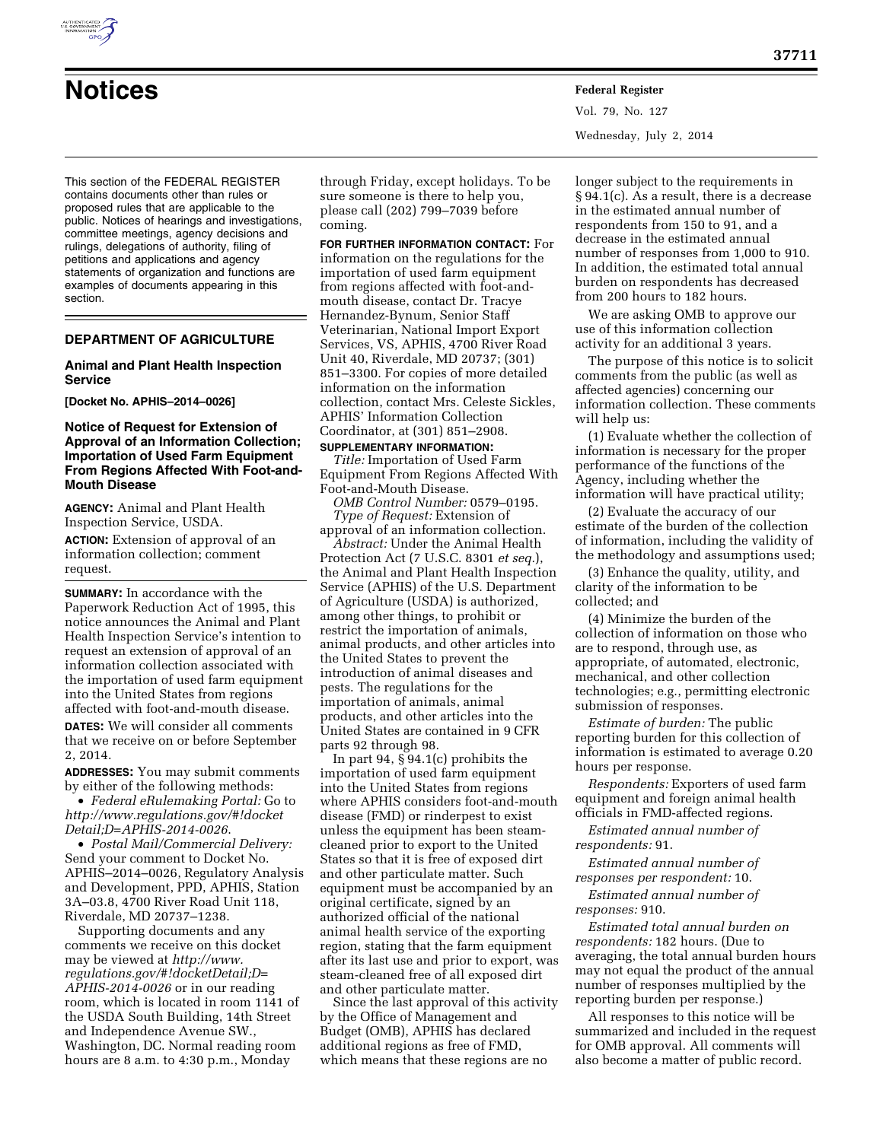

**Notices Federal Register** Vol. 79, No. 127 Wednesday, July 2, 2014

This section of the FEDERAL REGISTER contains documents other than rules or proposed rules that are applicable to the public. Notices of hearings and investigations, committee meetings, agency decisions and rulings, delegations of authority, filing of petitions and applications and agency statements of organization and functions are examples of documents appearing in this section.

# **DEPARTMENT OF AGRICULTURE**

### **Animal and Plant Health Inspection Service**

**[Docket No. APHIS–2014–0026]** 

## **Notice of Request for Extension of Approval of an Information Collection; Importation of Used Farm Equipment From Regions Affected With Foot-and-Mouth Disease**

**AGENCY:** Animal and Plant Health Inspection Service, USDA.

**ACTION:** Extension of approval of an information collection; comment request.

**SUMMARY:** In accordance with the Paperwork Reduction Act of 1995, this notice announces the Animal and Plant Health Inspection Service's intention to request an extension of approval of an information collection associated with the importation of used farm equipment into the United States from regions affected with foot-and-mouth disease.

**DATES:** We will consider all comments that we receive on or before September 2, 2014.

**ADDRESSES:** You may submit comments by either of the following methods:

• *Federal eRulemaking Portal:* Go to *[http://www.regulations.gov/#!docket](http://www.regulations.gov/#!docketDetail;D=APHIS-2014-0026) [Detail;D=APHIS-2014-0026](http://www.regulations.gov/#!docketDetail;D=APHIS-2014-0026)*.

• *Postal Mail/Commercial Delivery:*  Send your comment to Docket No. APHIS–2014–0026, Regulatory Analysis and Development, PPD, APHIS, Station 3A–03.8, 4700 River Road Unit 118, Riverdale, MD 20737–1238.

Supporting documents and any comments we receive on this docket may be viewed at *[http://www.](http://www.regulations.gov/#!docketDetail;D=APHIS-2014-0026) [regulations.gov/#!docketDetail;D=](http://www.regulations.gov/#!docketDetail;D=APHIS-2014-0026) [APHIS-2014-0026](http://www.regulations.gov/#!docketDetail;D=APHIS-2014-0026)* or in our reading room, which is located in room 1141 of the USDA South Building, 14th Street and Independence Avenue SW., Washington, DC. Normal reading room hours are 8 a.m. to 4:30 p.m., Monday

through Friday, except holidays. To be sure someone is there to help you, please call (202) 799–7039 before coming.

**FOR FURTHER INFORMATION CONTACT:** For information on the regulations for the importation of used farm equipment from regions affected with foot-andmouth disease, contact Dr. Tracye Hernandez-Bynum, Senior Staff Veterinarian, National Import Export Services, VS, APHIS, 4700 River Road Unit 40, Riverdale, MD 20737; (301) 851–3300. For copies of more detailed information on the information collection, contact Mrs. Celeste Sickles, APHIS' Information Collection Coordinator, at (301) 851–2908.

#### **SUPPLEMENTARY INFORMATION:**

*Title:* Importation of Used Farm Equipment From Regions Affected With Foot-and-Mouth Disease.

*OMB Control Number:* 0579–0195. *Type of Request:* Extension of

approval of an information collection. *Abstract:* Under the Animal Health

Protection Act (7 U.S.C. 8301 *et seq.*), the Animal and Plant Health Inspection Service (APHIS) of the U.S. Department of Agriculture (USDA) is authorized, among other things, to prohibit or restrict the importation of animals, animal products, and other articles into the United States to prevent the introduction of animal diseases and pests. The regulations for the importation of animals, animal products, and other articles into the United States are contained in 9 CFR parts 92 through 98.

In part 94, § 94.1(c) prohibits the importation of used farm equipment into the United States from regions where APHIS considers foot-and-mouth disease (FMD) or rinderpest to exist unless the equipment has been steamcleaned prior to export to the United States so that it is free of exposed dirt and other particulate matter. Such equipment must be accompanied by an original certificate, signed by an authorized official of the national animal health service of the exporting region, stating that the farm equipment after its last use and prior to export, was steam-cleaned free of all exposed dirt and other particulate matter.

Since the last approval of this activity by the Office of Management and Budget (OMB), APHIS has declared additional regions as free of FMD, which means that these regions are no

longer subject to the requirements in § 94.1(c). As a result, there is a decrease in the estimated annual number of respondents from 150 to 91, and a decrease in the estimated annual number of responses from 1,000 to 910. In addition, the estimated total annual burden on respondents has decreased from 200 hours to 182 hours.

We are asking OMB to approve our use of this information collection activity for an additional 3 years.

The purpose of this notice is to solicit comments from the public (as well as affected agencies) concerning our information collection. These comments will help us:

(1) Evaluate whether the collection of information is necessary for the proper performance of the functions of the Agency, including whether the information will have practical utility;

(2) Evaluate the accuracy of our estimate of the burden of the collection of information, including the validity of the methodology and assumptions used;

(3) Enhance the quality, utility, and clarity of the information to be collected; and

(4) Minimize the burden of the collection of information on those who are to respond, through use, as appropriate, of automated, electronic, mechanical, and other collection technologies; e.g., permitting electronic submission of responses.

*Estimate of burden:* The public reporting burden for this collection of information is estimated to average 0.20 hours per response.

*Respondents:* Exporters of used farm equipment and foreign animal health officials in FMD-affected regions.

*Estimated annual number of respondents:* 91.

*Estimated annual number of responses per respondent:* 10.

*Estimated annual number of responses:* 910.

*Estimated total annual burden on respondents:* 182 hours. (Due to averaging, the total annual burden hours may not equal the product of the annual number of responses multiplied by the reporting burden per response.)

All responses to this notice will be summarized and included in the request for OMB approval. All comments will also become a matter of public record.